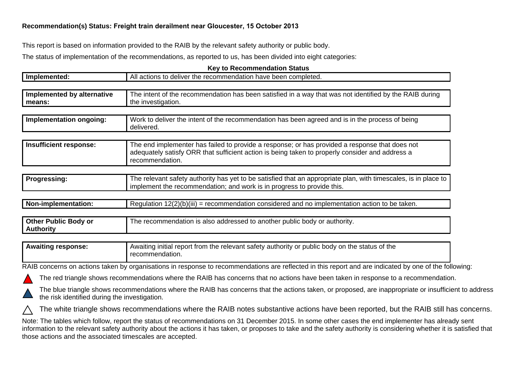## **Recommendation(s) Status: Freight train derailment near Gloucester, 15 October 201<sup>3</sup>**

This report is based on information provided to the RAIB by the relevant safety authority or public body.

The status of implementation of the recommendations, as reported to us, has been divided into eight categories:

|                                                                                                                                                                                                                                                                                                                                                                                         | <b>Key to Recommendation Status</b>                                                                                                                                                                                  |  |  |  |
|-----------------------------------------------------------------------------------------------------------------------------------------------------------------------------------------------------------------------------------------------------------------------------------------------------------------------------------------------------------------------------------------|----------------------------------------------------------------------------------------------------------------------------------------------------------------------------------------------------------------------|--|--|--|
| Implemented:                                                                                                                                                                                                                                                                                                                                                                            | All actions to deliver the recommendation have been completed.                                                                                                                                                       |  |  |  |
| Implemented by alternative<br>means:                                                                                                                                                                                                                                                                                                                                                    | The intent of the recommendation has been satisfied in a way that was not identified by the RAIB during<br>the investigation.                                                                                        |  |  |  |
| Implementation ongoing:                                                                                                                                                                                                                                                                                                                                                                 | Work to deliver the intent of the recommendation has been agreed and is in the process of being<br>delivered.                                                                                                        |  |  |  |
| Insufficient response:                                                                                                                                                                                                                                                                                                                                                                  | The end implementer has failed to provide a response; or has provided a response that does not<br>adequately satisfy ORR that sufficient action is being taken to properly consider and address a<br>recommendation. |  |  |  |
| <b>Progressing:</b>                                                                                                                                                                                                                                                                                                                                                                     | The relevant safety authority has yet to be satisfied that an appropriate plan, with timescales, is in place to<br>implement the recommendation; and work is in progress to provide this.                            |  |  |  |
| Non-implementation:                                                                                                                                                                                                                                                                                                                                                                     | Regulation $12(2)(b)(iii)$ = recommendation considered and no implementation action to be taken.                                                                                                                     |  |  |  |
| <b>Other Public Body or</b><br><b>Authority</b>                                                                                                                                                                                                                                                                                                                                         | The recommendation is also addressed to another public body or authority.                                                                                                                                            |  |  |  |
| <b>Awaiting response:</b>                                                                                                                                                                                                                                                                                                                                                               | Awaiting initial report from the relevant safety authority or public body on the status of the<br>recommendation.                                                                                                    |  |  |  |
|                                                                                                                                                                                                                                                                                                                                                                                         | RAIB concerns on actions taken by organisations in response to recommendations are reflected in this report and are indicated by one of the following:                                                               |  |  |  |
| The red triangle shows recommendations where the RAIB has concerns that no actions have been taken in response to a recommendation.                                                                                                                                                                                                                                                     |                                                                                                                                                                                                                      |  |  |  |
|                                                                                                                                                                                                                                                                                                                                                                                         | The blue triangle shows recommendations where the RAIB has concerns that the actions taken, or proposed, are inappropriate or insufficient to address<br>the risk identified during the investigation.               |  |  |  |
| The white triangle shows recommendations where the RAIB notes substantive actions have been reported, but the RAIB still has concerns.                                                                                                                                                                                                                                                  |                                                                                                                                                                                                                      |  |  |  |
| Note: The tables which follow, report the status of recommendations on 31 December 2015. In some other cases the end implementer has already sent<br>information to the relevant safety authority about the actions it has taken, or proposes to take and the safety authority is considering whether it is satisfied that<br>those actions and the associated timescales are accepted. |                                                                                                                                                                                                                      |  |  |  |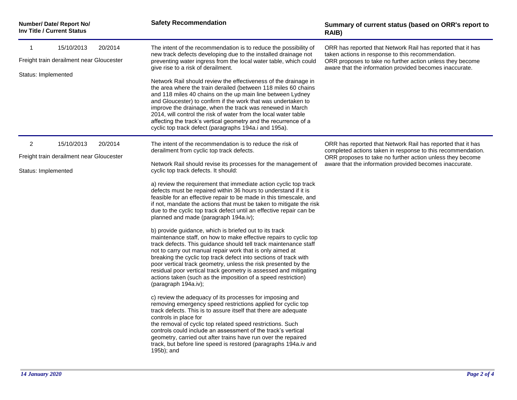| Number/ Date/ Report No/<br><b>Inv Title / Current Status</b>   |                                                                   | <b>Safety Recommendation</b>                                                                                                                                                                                                                                                                                                                                                                                                                                                                                                                                       | Summary of current status (based on ORR's report to<br>RAIB)                                                                                                                  |
|-----------------------------------------------------------------|-------------------------------------------------------------------|--------------------------------------------------------------------------------------------------------------------------------------------------------------------------------------------------------------------------------------------------------------------------------------------------------------------------------------------------------------------------------------------------------------------------------------------------------------------------------------------------------------------------------------------------------------------|-------------------------------------------------------------------------------------------------------------------------------------------------------------------------------|
| 1                                                               | 15/10/2013<br>20/2014<br>Freight train derailment near Gloucester | The intent of the recommendation is to reduce the possibility of<br>new track defects developing due to the installed drainage not<br>preventing water ingress from the local water table, which could                                                                                                                                                                                                                                                                                                                                                             | ORR has reported that Network Rail has reported that it has<br>taken actions in response to this recommendation.<br>ORR proposes to take no further action unless they become |
|                                                                 | Status: Implemented                                               | give rise to a risk of derailment.<br>Network Rail should review the effectiveness of the drainage in<br>the area where the train derailed (between 118 miles 60 chains<br>and 118 miles 40 chains on the up main line between Lydney<br>and Gloucester) to confirm if the work that was undertaken to<br>improve the drainage, when the track was renewed in March<br>2014, will control the risk of water from the local water table<br>affecting the track's vertical geometry and the recurrence of a<br>cyclic top track defect (paragraphs 194a.i and 195a). | aware that the information provided becomes inaccurate.                                                                                                                       |
| $\overline{c}$                                                  | 15/10/2013<br>20/2014                                             | The intent of the recommendation is to reduce the risk of<br>derailment from cyclic top track defects.                                                                                                                                                                                                                                                                                                                                                                                                                                                             | ORR has reported that Network Rail has reported that it has<br>completed actions taken in response to this recommendation.                                                    |
| Freight train derailment near Gloucester<br>Status: Implemented |                                                                   | Network Rail should revise its processes for the management of<br>cyclic top track defects. It should:                                                                                                                                                                                                                                                                                                                                                                                                                                                             | ORR proposes to take no further action unless they become<br>aware that the information provided becomes inaccurate.                                                          |
|                                                                 |                                                                   | a) review the requirement that immediate action cyclic top track<br>defects must be repaired within 36 hours to understand if it is<br>feasible for an effective repair to be made in this timescale, and<br>if not, mandate the actions that must be taken to mitigate the risk<br>due to the cyclic top track defect until an effective repair can be<br>planned and made (paragraph 194a.iv);                                                                                                                                                                   |                                                                                                                                                                               |
|                                                                 |                                                                   | b) provide guidance, which is briefed out to its track<br>maintenance staff, on how to make effective repairs to cyclic top<br>track defects. This guidance should tell track maintenance staff<br>not to carry out manual repair work that is only aimed at<br>breaking the cyclic top track defect into sections of track with<br>poor vertical track geometry, unless the risk presented by the<br>residual poor vertical track geometry is assessed and mitigating<br>actions taken (such as the imposition of a speed restriction)<br>(paragraph 194a.iv);    |                                                                                                                                                                               |
|                                                                 |                                                                   | c) review the adequacy of its processes for imposing and<br>removing emergency speed restrictions applied for cyclic top<br>track defects. This is to assure itself that there are adequate<br>controls in place for<br>the removal of cyclic top related speed restrictions. Such<br>controls could include an assessment of the track's vertical<br>geometry, carried out after trains have run over the repaired<br>track, but before line speed is restored (paragraphs 194a.iv and<br>195b); and                                                              |                                                                                                                                                                               |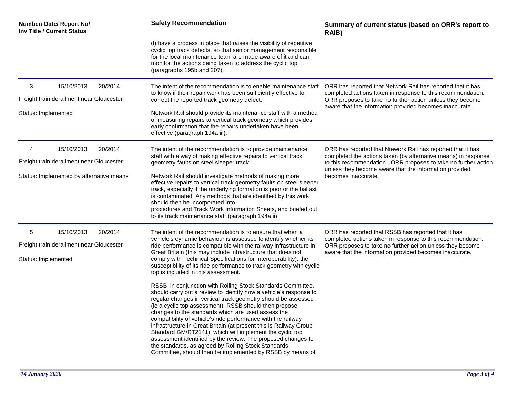| Number/ Date/ Report No/<br>Inv Title / Current Status          |         | <b>Safety Recommendation</b>                                                                                                                                                                                                                                                                                                                                                                                                       | Summary of current status (based on ORR's report to<br>RAIB)                                                                                                                                                      |
|-----------------------------------------------------------------|---------|------------------------------------------------------------------------------------------------------------------------------------------------------------------------------------------------------------------------------------------------------------------------------------------------------------------------------------------------------------------------------------------------------------------------------------|-------------------------------------------------------------------------------------------------------------------------------------------------------------------------------------------------------------------|
|                                                                 |         | d) have a process in place that raises the visibility of repetitive<br>cyclic top track defects, so that senior management responsible<br>for the local maintenance team are made aware of it and can<br>monitor the actions being taken to address the cyclic top<br>(paragraphs 195b and 207).                                                                                                                                   |                                                                                                                                                                                                                   |
| 3<br>15/10/2013                                                 | 20/2014 | The intent of the recommendation is to enable maintenance staff<br>to know if their repair work has been sufficiently effective to                                                                                                                                                                                                                                                                                                 | ORR has reported that Network Rail has reported that it has<br>completed actions taken in response to this recommendation.                                                                                        |
| Freight train derailment near Gloucester                        |         | correct the reported track geometry defect.                                                                                                                                                                                                                                                                                                                                                                                        | ORR proposes to take no further action unless they become<br>aware that the information provided becomes inaccurate.                                                                                              |
| Status: Implemented                                             |         | Network Rail should provide its maintenance staff with a method<br>of measuring repairs to vertical track geometry which provides<br>early confirmation that the repairs undertaken have been<br>effective (paragraph 194a.iii).                                                                                                                                                                                                   |                                                                                                                                                                                                                   |
| 4<br>15/10/2013                                                 | 20/2014 | The intent of the recommendation is to provide maintenance                                                                                                                                                                                                                                                                                                                                                                         | ORR has reported that Ntework Rail has reported that it has                                                                                                                                                       |
| Freight train derailment near Gloucester                        |         | staff with a way of making effective repairs to vertical track<br>geometry faults on steel sleeper track.                                                                                                                                                                                                                                                                                                                          | completed the actions taken (by alternative means) in response<br>to this recommendation. ORR proposes to take no further action<br>unless they become aware that the information provided<br>becomes inaccurate. |
| Status: Implemented by alternative means                        |         | Network Rail should investigate methods of making more<br>effective repairs to vertical track geometry faults on steel sleeper<br>track, especially if the underlying formation is poor or the ballast<br>is contaminated. Any methods that are identified by this work<br>should then be incorporated into<br>procedures and Track Work Information Sheets, and briefed out<br>to its track maintenance staff (paragraph 194a.ii) |                                                                                                                                                                                                                   |
| 15/10/2013<br>5                                                 | 20/2014 | The intent of the recommendation is to ensure that when a                                                                                                                                                                                                                                                                                                                                                                          | ORR has reported that RSSB has reported that it has                                                                                                                                                               |
| Freight train derailment near Gloucester<br>Status: Implemented |         | vehicle's dynamic behaviour is assessed to identify whether its<br>ride performance is compatible with the railway infrastructure in<br>Great Britain (this may include infrastructure that does not<br>comply with Technical Specifications for Interoperability), the<br>susceptibility of its ride performance to track geometry with cyclic<br>top is included in this assessment.                                             | completed actions taken in response to this recommendation.<br>ORR proposes to take no further action unless they become<br>aware that the information provided becomes inaccurate.                               |
|                                                                 |         |                                                                                                                                                                                                                                                                                                                                                                                                                                    |                                                                                                                                                                                                                   |